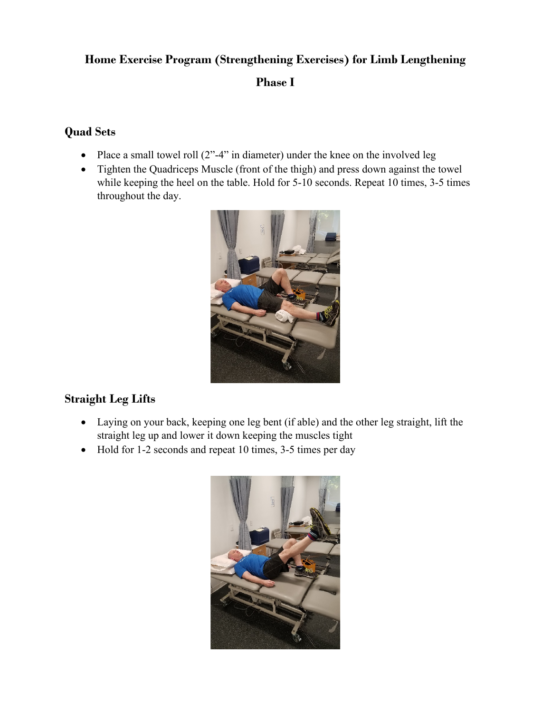#### **Home Exercise Program (Strengthening Exercises) for Limb Lengthening**

#### **Phase I**

#### **Quad Sets**

- Place a small towel roll  $(2<sup>n</sup>-4<sup>n</sup>)$  in diameter) under the knee on the involved leg
- Tighten the Quadriceps Muscle (front of the thigh) and press down against the towel while keeping the heel on the table. Hold for 5-10 seconds. Repeat 10 times, 3-5 times throughout the day.



### **Straight Leg Lifts**

- Laying on your back, keeping one leg bent (if able) and the other leg straight, lift the straight leg up and lower it down keeping the muscles tight
- Hold for 1-2 seconds and repeat 10 times, 3-5 times per day

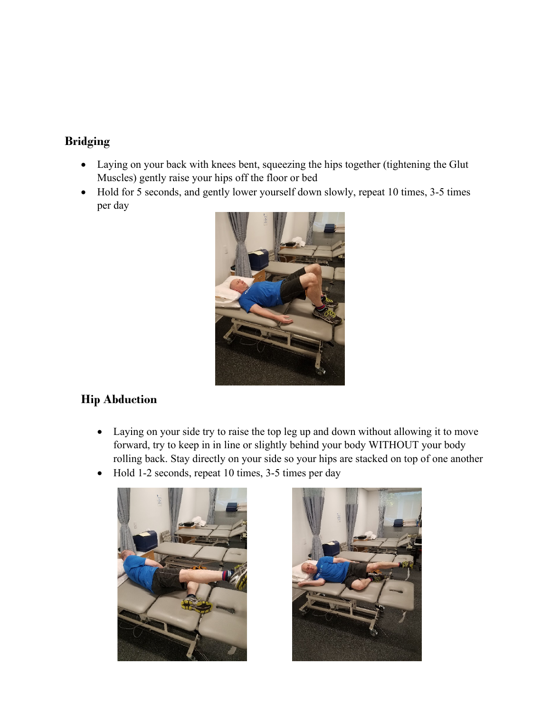### **Bridging**

- Laying on your back with knees bent, squeezing the hips together (tightening the Glut Muscles) gently raise your hips off the floor or bed
- Hold for 5 seconds, and gently lower yourself down slowly, repeat 10 times, 3-5 times per day



# **Hip Abduction**

- Laying on your side try to raise the top leg up and down without allowing it to move forward, try to keep in in line or slightly behind your body WITHOUT your body rolling back. Stay directly on your side so your hips are stacked on top of one another
- Hold 1-2 seconds, repeat 10 times, 3-5 times per day